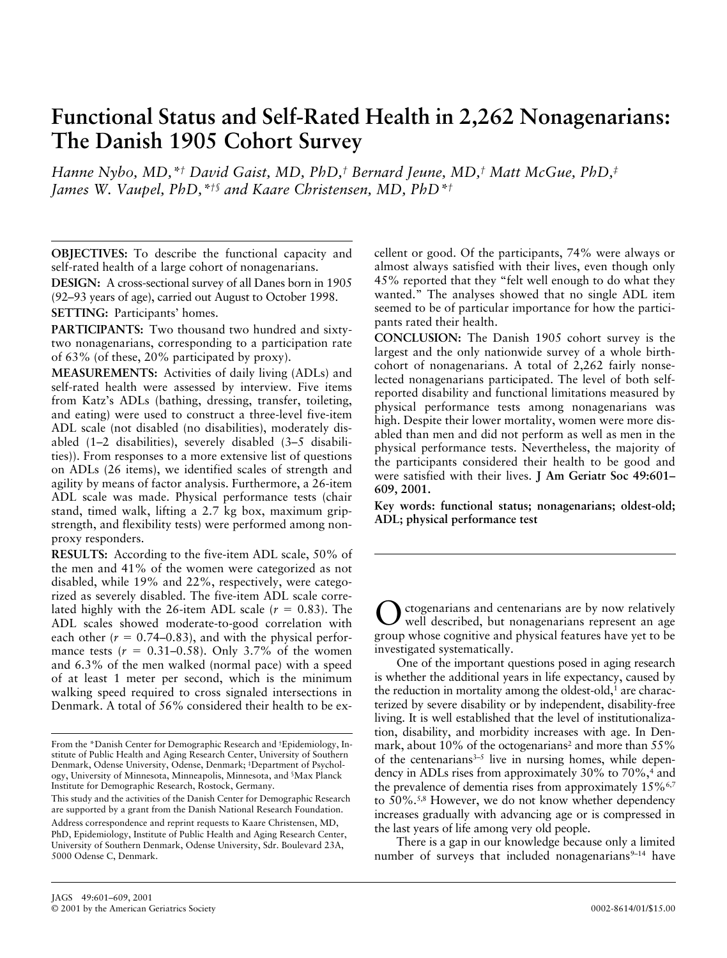# **Functional Status and Self-Rated Health in 2,262 Nonagenarians: The Danish 1905 Cohort Survey**

*Hanne Nybo, MD,\*† David Gaist, MD, PhD,† Bernard Jeune, MD,† Matt McGue, PhD,‡ James W. Vaupel, PhD,\*†§ and Kaare Christensen, MD, PhD\*†*

**OBJECTIVES:** To describe the functional capacity and self-rated health of a large cohort of nonagenarians. **DESIGN:** A cross-sectional survey of all Danes born in 1905 (92–93 years of age), carried out August to October 1998.

**SETTING:** Participants' homes.

**PARTICIPANTS:** Two thousand two hundred and sixtytwo nonagenarians, corresponding to a participation rate of 63% (of these, 20% participated by proxy).

**MEASUREMENTS:** Activities of daily living (ADLs) and self-rated health were assessed by interview. Five items from Katz's ADLs (bathing, dressing, transfer, toileting, and eating) were used to construct a three-level five-item ADL scale (not disabled (no disabilities), moderately disabled (1–2 disabilities), severely disabled (3–5 disabilities)). From responses to a more extensive list of questions on ADLs (26 items), we identified scales of strength and agility by means of factor analysis. Furthermore, a 26-item ADL scale was made. Physical performance tests (chair stand, timed walk, lifting a 2.7 kg box, maximum gripstrength, and flexibility tests) were performed among nonproxy responders.

**RESULTS:** According to the five-item ADL scale, 50% of the men and 41% of the women were categorized as not disabled, while 19% and 22%, respectively, were categorized as severely disabled. The five-item ADL scale correlated highly with the 26-item ADL scale  $(r = 0.83)$ . The ADL scales showed moderate-to-good correlation with each other  $(r = 0.74{\text -}0.83)$ , and with the physical performance tests  $(r = 0.31{\text -}0.58)$ . Only 3.7% of the women and 6.3% of the men walked (normal pace) with a speed of at least 1 meter per second, which is the minimum walking speed required to cross signaled intersections in Denmark. A total of 56% considered their health to be excellent or good. Of the participants, 74% were always or almost always satisfied with their lives, even though only 45% reported that they "felt well enough to do what they wanted." The analyses showed that no single ADL item seemed to be of particular importance for how the participants rated their health.

**CONCLUSION:** The Danish 1905 cohort survey is the largest and the only nationwide survey of a whole birthcohort of nonagenarians. A total of 2,262 fairly nonselected nonagenarians participated. The level of both selfreported disability and functional limitations measured by physical performance tests among nonagenarians was high. Despite their lower mortality, women were more disabled than men and did not perform as well as men in the physical performance tests. Nevertheless, the majority of the participants considered their health to be good and were satisfied with their lives. **J Am Geriatr Soc 49:601– 609, 2001.**

**Key words: functional status; nonagenarians; oldest-old; ADL; physical performance test**

ctogenarians and centenarians are by now relatively well described, but nonagenarians represent an age group whose cognitive and physical features have yet to be investigated systematically.

One of the important questions posed in aging research is whether the additional years in life expectancy, caused by the reduction in mortality among the oldest-old, $<sup>1</sup>$  are charac-</sup> terized by severe disability or by independent, disability-free living. It is well established that the level of institutionalization, disability, and morbidity increases with age. In Denmark, about 10% of the octogenarians<sup>2</sup> and more than  $55\%$ of the centenarians $3-5$  live in nursing homes, while dependency in ADLs rises from approximately 30% to 70%,<sup>4</sup> and the prevalence of dementia rises from approximately  $15\%$ <sup>6,7</sup> to 50%.5,8 However, we do not know whether dependency increases gradually with advancing age or is compressed in the last years of life among very old people.

There is a gap in our knowledge because only a limited number of surveys that included nonagenarians $9-14$  have

From the \*Danish Center for Demographic Research and †Epidemiology, Institute of Public Health and Aging Research Center, University of Southern Denmark, Odense University, Odense, Denmark; ‡Department of Psychology, University of Minnesota, Minneapolis, Minnesota, and §Max Planck Institute for Demographic Research, Rostock, Germany.

This study and the activities of the Danish Center for Demographic Research are supported by a grant from the Danish National Research Foundation. Address correspondence and reprint requests to Kaare Christensen, MD, PhD, Epidemiology, Institute of Public Health and Aging Research Center, University of Southern Denmark, Odense University, Sdr. Boulevard 23A, 5000 Odense C, Denmark.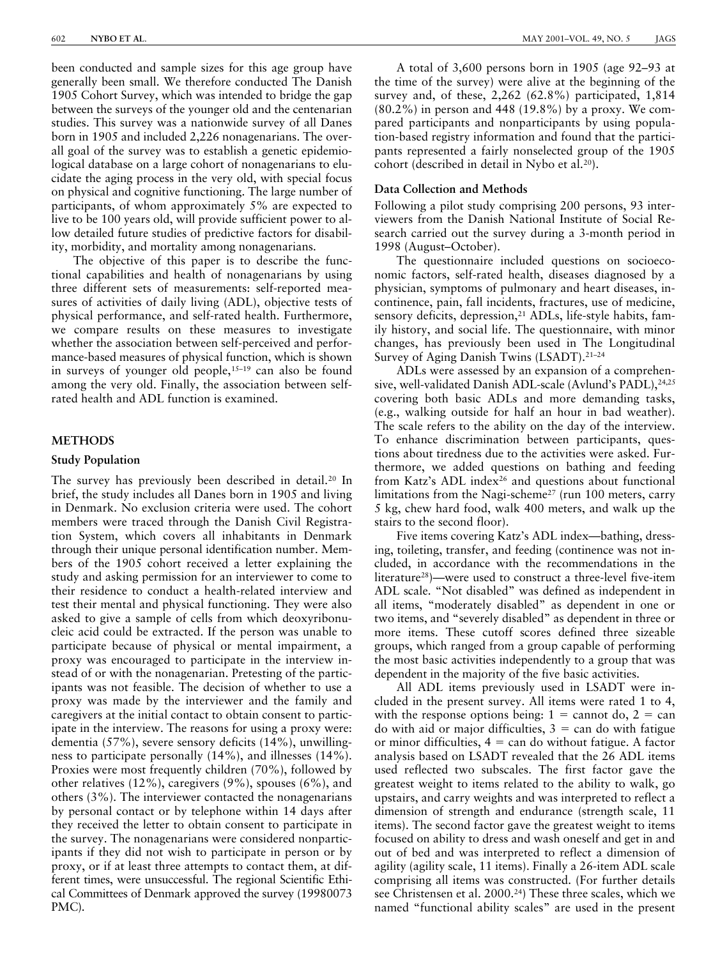been conducted and sample sizes for this age group have generally been small. We therefore conducted The Danish 1905 Cohort Survey, which was intended to bridge the gap between the surveys of the younger old and the centenarian studies. This survey was a nationwide survey of all Danes born in 1905 and included 2,226 nonagenarians. The overall goal of the survey was to establish a genetic epidemiological database on a large cohort of nonagenarians to elucidate the aging process in the very old, with special focus on physical and cognitive functioning. The large number of participants, of whom approximately 5% are expected to live to be 100 years old, will provide sufficient power to allow detailed future studies of predictive factors for disability, morbidity, and mortality among nonagenarians.

The objective of this paper is to describe the functional capabilities and health of nonagenarians by using three different sets of measurements: self-reported measures of activities of daily living (ADL), objective tests of physical performance, and self-rated health. Furthermore, we compare results on these measures to investigate whether the association between self-perceived and performance-based measures of physical function, which is shown in surveys of younger old people,  $15-19$  can also be found among the very old. Finally, the association between selfrated health and ADL function is examined.

### **METHODS**

# **Study Population**

The survey has previously been described in detail.20 In brief, the study includes all Danes born in 1905 and living in Denmark. No exclusion criteria were used. The cohort members were traced through the Danish Civil Registration System, which covers all inhabitants in Denmark through their unique personal identification number. Members of the 1905 cohort received a letter explaining the study and asking permission for an interviewer to come to their residence to conduct a health-related interview and test their mental and physical functioning. They were also asked to give a sample of cells from which deoxyribonucleic acid could be extracted. If the person was unable to participate because of physical or mental impairment, a proxy was encouraged to participate in the interview instead of or with the nonagenarian. Pretesting of the participants was not feasible. The decision of whether to use a proxy was made by the interviewer and the family and caregivers at the initial contact to obtain consent to participate in the interview. The reasons for using a proxy were: dementia (57%), severe sensory deficits (14%), unwillingness to participate personally (14%), and illnesses (14%). Proxies were most frequently children (70%), followed by other relatives (12%), caregivers (9%), spouses (6%), and others (3%). The interviewer contacted the nonagenarians by personal contact or by telephone within 14 days after they received the letter to obtain consent to participate in the survey. The nonagenarians were considered nonparticipants if they did not wish to participate in person or by proxy, or if at least three attempts to contact them, at different times, were unsuccessful. The regional Scientific Ethical Committees of Denmark approved the survey (19980073 PMC).

A total of 3,600 persons born in 1905 (age 92–93 at the time of the survey) were alive at the beginning of the survey and, of these, 2,262 (62.8%) participated, 1,814 (80.2%) in person and 448 (19.8%) by a proxy. We compared participants and nonparticipants by using population-based registry information and found that the participants represented a fairly nonselected group of the 1905 cohort (described in detail in Nybo et al.20).

# **Data Collection and Methods**

Following a pilot study comprising 200 persons, 93 interviewers from the Danish National Institute of Social Research carried out the survey during a 3-month period in 1998 (August–October).

The questionnaire included questions on socioeconomic factors, self-rated health, diseases diagnosed by a physician, symptoms of pulmonary and heart diseases, incontinence, pain, fall incidents, fractures, use of medicine, sensory deficits, depression,<sup>21</sup> ADLs, life-style habits, family history, and social life. The questionnaire, with minor changes, has previously been used in The Longitudinal Survey of Aging Danish Twins (LSADT).21–24

ADLs were assessed by an expansion of a comprehensive, well-validated Danish ADL-scale (Avlund's PADL),<sup>24,25</sup> covering both basic ADLs and more demanding tasks, (e.g., walking outside for half an hour in bad weather). The scale refers to the ability on the day of the interview. To enhance discrimination between participants, questions about tiredness due to the activities were asked. Furthermore, we added questions on bathing and feeding from Katz's ADL index<sup>26</sup> and questions about functional limitations from the Nagi-scheme<sup>27</sup> (run 100 meters, carry 5 kg, chew hard food, walk 400 meters, and walk up the stairs to the second floor).

Five items covering Katz's ADL index—bathing, dressing, toileting, transfer, and feeding (continence was not included, in accordance with the recommendations in the literature28)—were used to construct a three-level five-item ADL scale. "Not disabled" was defined as independent in all items, "moderately disabled" as dependent in one or two items, and "severely disabled" as dependent in three or more items. These cutoff scores defined three sizeable groups, which ranged from a group capable of performing the most basic activities independently to a group that was dependent in the majority of the five basic activities.

All ADL items previously used in LSADT were included in the present survey. All items were rated 1 to 4, with the response options being:  $1 =$  cannot do,  $2 =$  can do with aid or major difficulties,  $3 = \text{can}$  do with fatigue or minor difficulties,  $4 = \text{can do without fatigue. A factor}$ analysis based on LSADT revealed that the 26 ADL items used reflected two subscales. The first factor gave the greatest weight to items related to the ability to walk, go upstairs, and carry weights and was interpreted to reflect a dimension of strength and endurance (strength scale, 11 items). The second factor gave the greatest weight to items focused on ability to dress and wash oneself and get in and out of bed and was interpreted to reflect a dimension of agility (agility scale, 11 items). Finally a 26-item ADL scale comprising all items was constructed. (For further details see Christensen et al. 2000.<sup>24</sup>) These three scales, which we named "functional ability scales" are used in the present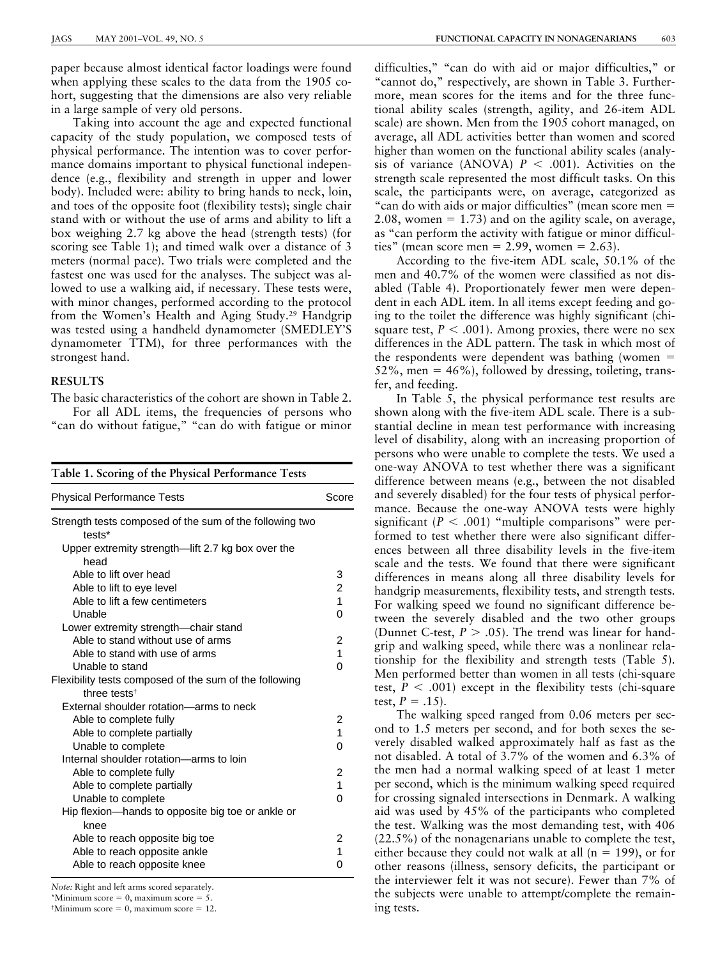paper because almost identical factor loadings were found when applying these scales to the data from the 1905 cohort, suggesting that the dimensions are also very reliable in a large sample of very old persons.

Taking into account the age and expected functional capacity of the study population, we composed tests of physical performance. The intention was to cover performance domains important to physical functional independence (e.g., flexibility and strength in upper and lower body). Included were: ability to bring hands to neck, loin, and toes of the opposite foot (flexibility tests); single chair stand with or without the use of arms and ability to lift a box weighing 2.7 kg above the head (strength tests) (for scoring see Table 1); and timed walk over a distance of 3 meters (normal pace). Two trials were completed and the fastest one was used for the analyses. The subject was allowed to use a walking aid, if necessary. These tests were, with minor changes, performed according to the protocol from the Women's Health and Aging Study.29 Handgrip was tested using a handheld dynamometer (SMEDLEY'S dynamometer TTM), for three performances with the strongest hand.

# **RESULTS**

The basic characteristics of the cohort are shown in Table 2. For all ADL items, the frequencies of persons who "can do without fatigue," "can do with fatigue or minor

| Table 1. Scoring of the Physical Performance Tests                |                |
|-------------------------------------------------------------------|----------------|
| <b>Physical Performance Tests</b>                                 | Score          |
| Strength tests composed of the sum of the following two<br>tests* |                |
| Upper extremity strength-lift 2.7 kg box over the<br>head         |                |
| Able to lift over head                                            | 3              |
| Able to lift to eye level                                         | $\overline{c}$ |
| Able to lift a few centimeters                                    | $\overline{1}$ |
| Unable                                                            | 0              |
| Lower extremity strength—chair stand                              |                |
| Able to stand without use of arms                                 | 2              |
| Able to stand with use of arms                                    | 1              |
| Unable to stand                                                   | 0              |
| Flexibility tests composed of the sum of the following            |                |
| three tests <sup>†</sup>                                          |                |
| External shoulder rotation-arms to neck                           |                |
| Able to complete fully                                            | 2              |
| Able to complete partially                                        | 1              |
| Unable to complete                                                | 0              |
| Internal shoulder rotation-arms to loin                           |                |
| Able to complete fully                                            | 2              |
| Able to complete partially                                        | $\overline{1}$ |
| Unable to complete                                                | 0              |
| Hip flexion—hands to opposite big toe or ankle or<br>knee         |                |
| Able to reach opposite big toe                                    | 2              |
| Able to reach opposite ankle                                      | 1              |
| Able to reach opposite knee                                       | 0              |

*Note:* Right and left arms scored separately.

\*Minimum score  $= 0$ , maximum score  $= 5$ .

 $M$ imimum score = 0, maximum score = 12.

difficulties," "can do with aid or major difficulties," or "cannot do," respectively, are shown in Table 3. Furthermore, mean scores for the items and for the three functional ability scales (strength, agility, and 26-item ADL scale) are shown. Men from the 1905 cohort managed, on average, all ADL activities better than women and scored higher than women on the functional ability scales (analysis of variance (ANOVA)  $P < .001$ ). Activities on the strength scale represented the most difficult tasks. On this scale, the participants were, on average, categorized as "can do with aids or major difficulties" (mean score men = 2.08, women  $= 1.73$ ) and on the agility scale, on average, as "can perform the activity with fatigue or minor difficulties" (mean score men = 2.99, women = 2.63).

According to the five-item ADL scale, 50.1% of the men and 40.7% of the women were classified as not disabled (Table 4). Proportionately fewer men were dependent in each ADL item. In all items except feeding and going to the toilet the difference was highly significant (chisquare test,  $P < .001$ ). Among proxies, there were no sex differences in the ADL pattern. The task in which most of the respondents were dependent was bathing (women  $=$  $52\%$ , men = 46%), followed by dressing, toileting, transfer, and feeding.

In Table 5, the physical performance test results are shown along with the five-item ADL scale. There is a substantial decline in mean test performance with increasing level of disability, along with an increasing proportion of persons who were unable to complete the tests. We used a one-way ANOVA to test whether there was a significant difference between means (e.g., between the not disabled and severely disabled) for the four tests of physical performance. Because the one-way ANOVA tests were highly significant  $(P < .001)$  "multiple comparisons" were performed to test whether there were also significant differences between all three disability levels in the five-item scale and the tests. We found that there were significant differences in means along all three disability levels for handgrip measurements, flexibility tests, and strength tests. For walking speed we found no significant difference between the severely disabled and the two other groups (Dunnet C-test,  $P > .05$ ). The trend was linear for handgrip and walking speed, while there was a nonlinear relationship for the flexibility and strength tests (Table 5). Men performed better than women in all tests (chi-square test,  $P < .001$ ) except in the flexibility tests (chi-square test,  $P = .15$ ).

The walking speed ranged from 0.06 meters per second to 1.5 meters per second, and for both sexes the severely disabled walked approximately half as fast as the not disabled. A total of 3.7% of the women and 6.3% of the men had a normal walking speed of at least 1 meter per second, which is the minimum walking speed required for crossing signaled intersections in Denmark. A walking aid was used by 45% of the participants who completed the test. Walking was the most demanding test, with 406 (22.5%) of the nonagenarians unable to complete the test, either because they could not walk at all ( $n = 199$ ), or for other reasons (illness, sensory deficits, the participant or the interviewer felt it was not secure). Fewer than 7% of the subjects were unable to attempt/complete the remaining tests.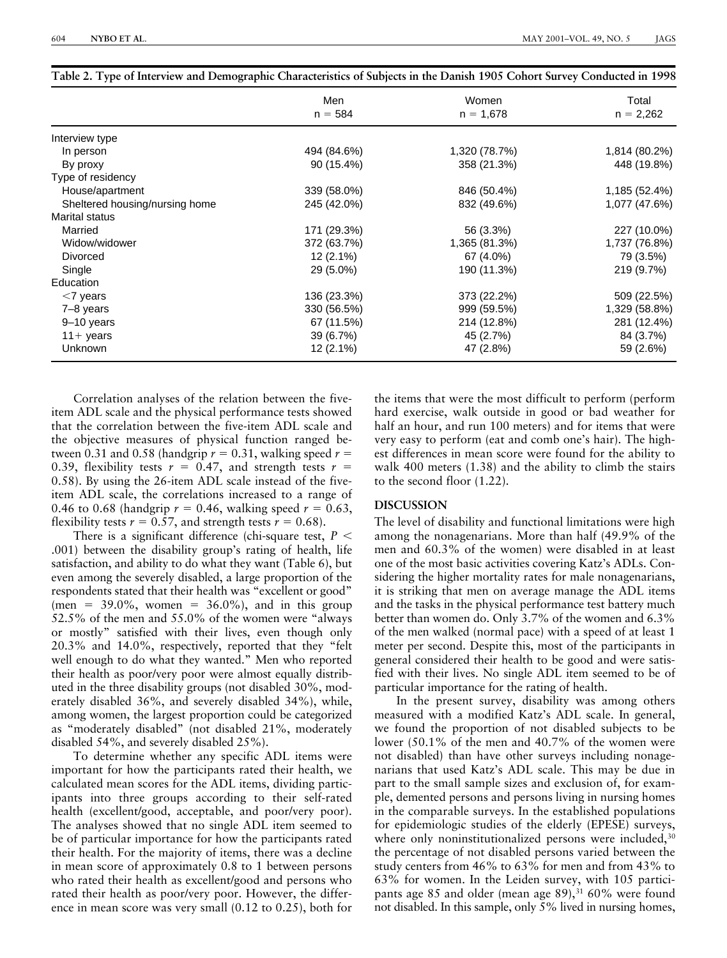|                                | Men         | Women         | Total         |
|--------------------------------|-------------|---------------|---------------|
|                                | $n = 584$   | $n = 1,678$   | $n = 2,262$   |
| Interview type                 |             |               |               |
| In person                      | 494 (84.6%) | 1,320 (78.7%) | 1,814 (80.2%) |
| By proxy                       | 90 (15.4%)  | 358 (21.3%)   | 448 (19.8%)   |
| Type of residency              |             |               |               |
| House/apartment                | 339 (58.0%) | 846 (50.4%)   | 1,185 (52.4%) |
| Sheltered housing/nursing home | 245 (42.0%) | 832 (49.6%)   | 1,077 (47.6%) |
| <b>Marital status</b>          |             |               |               |
| Married                        | 171 (29.3%) | 56 (3.3%)     | 227 (10.0%)   |
| Widow/widower                  | 372 (63.7%) | 1,365 (81.3%) | 1,737 (76.8%) |
| <b>Divorced</b>                | $12(2.1\%)$ | 67 (4.0%)     | 79 (3.5%)     |
| Single                         | 29 (5.0%)   | 190 (11.3%)   | 219 (9.7%)    |
| Education                      |             |               |               |
| $<$ 7 years                    | 136 (23.3%) | 373 (22.2%)   | 509 (22.5%)   |
| 7-8 years                      | 330 (56.5%) | 999 (59.5%)   | 1,329 (58.8%) |
| 9-10 years                     | 67 (11.5%)  | 214 (12.8%)   | 281 (12.4%)   |
| $11+$ years                    | 39 (6.7%)   | 45 (2.7%)     | 84 (3.7%)     |
| <b>Unknown</b>                 | $12(2.1\%)$ | 47 (2.8%)     | 59 (2.6%)     |

**Table 2. Type of Interview and Demographic Characteristics of Subjects in the Danish 1905 Cohort Survey Conducted in 1998**

Correlation analyses of the relation between the fiveitem ADL scale and the physical performance tests showed that the correlation between the five-item ADL scale and the objective measures of physical function ranged between 0.31 and 0.58 (handgrip  $r = 0.31$ , walking speed  $r =$ 0.39, flexibility tests  $r = 0.47$ , and strength tests  $r =$ 0.58). By using the 26-item ADL scale instead of the fiveitem ADL scale, the correlations increased to a range of 0.46 to 0.68 (handgrip  $r = 0.46$ , walking speed  $r = 0.63$ , flexibility tests  $r = 0.57$ , and strength tests  $r = 0.68$ ).

There is a significant difference (chi-square test,  $P \leq$ .001) between the disability group's rating of health, life satisfaction, and ability to do what they want (Table 6), but even among the severely disabled, a large proportion of the respondents stated that their health was "excellent or good" (men =  $39.0\%$ , women =  $36.0\%$ ), and in this group 52.5% of the men and 55.0% of the women were "always or mostly" satisfied with their lives, even though only 20.3% and 14.0%, respectively, reported that they "felt well enough to do what they wanted." Men who reported their health as poor/very poor were almost equally distributed in the three disability groups (not disabled 30%, moderately disabled 36%, and severely disabled 34%), while, among women, the largest proportion could be categorized as "moderately disabled" (not disabled 21%, moderately disabled 54%, and severely disabled 25%).

To determine whether any specific ADL items were important for how the participants rated their health, we calculated mean scores for the ADL items, dividing participants into three groups according to their self-rated health (excellent/good, acceptable, and poor/very poor). The analyses showed that no single ADL item seemed to be of particular importance for how the participants rated their health. For the majority of items, there was a decline in mean score of approximately 0.8 to 1 between persons who rated their health as excellent/good and persons who rated their health as poor/very poor. However, the difference in mean score was very small (0.12 to 0.25), both for the items that were the most difficult to perform (perform hard exercise, walk outside in good or bad weather for half an hour, and run 100 meters) and for items that were very easy to perform (eat and comb one's hair). The highest differences in mean score were found for the ability to walk 400 meters (1.38) and the ability to climb the stairs to the second floor (1.22).

## **DISCUSSION**

The level of disability and functional limitations were high among the nonagenarians. More than half (49.9% of the men and 60.3% of the women) were disabled in at least one of the most basic activities covering Katz's ADLs. Considering the higher mortality rates for male nonagenarians, it is striking that men on average manage the ADL items and the tasks in the physical performance test battery much better than women do. Only 3.7% of the women and 6.3% of the men walked (normal pace) with a speed of at least 1 meter per second. Despite this, most of the participants in general considered their health to be good and were satisfied with their lives. No single ADL item seemed to be of particular importance for the rating of health.

In the present survey, disability was among others measured with a modified Katz's ADL scale. In general, we found the proportion of not disabled subjects to be lower (50.1% of the men and 40.7% of the women were not disabled) than have other surveys including nonagenarians that used Katz's ADL scale. This may be due in part to the small sample sizes and exclusion of, for example, demented persons and persons living in nursing homes in the comparable surveys. In the established populations for epidemiologic studies of the elderly (EPESE) surveys, where only noninstitutionalized persons were included,<sup>30</sup> the percentage of not disabled persons varied between the study centers from 46% to 63% for men and from 43% to 63% for women. In the Leiden survey, with 105 participants age 85 and older (mean age 89),<sup>31</sup> 60% were found not disabled. In this sample, only 5% lived in nursing homes,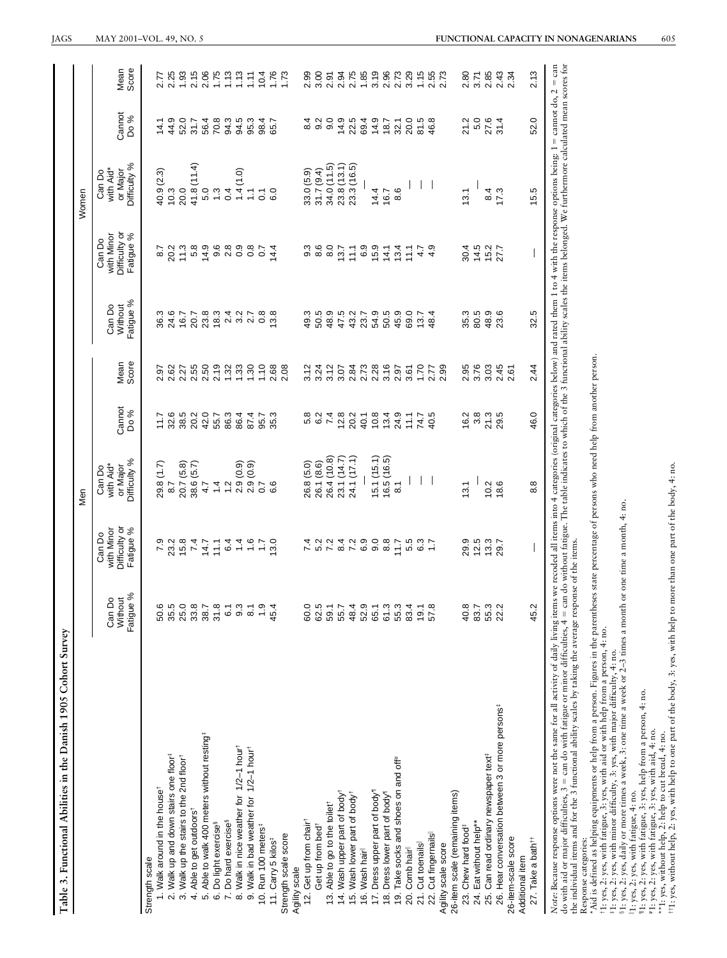| Can Do<br>Without<br>Fatigue<br>Strength scale                       |                                       |                  |                                                                       |        |               |                   |                                                                                                                                                                                                                                                                                                                         |                                 |                         |                            |
|----------------------------------------------------------------------|---------------------------------------|------------------|-----------------------------------------------------------------------|--------|---------------|-------------------|-------------------------------------------------------------------------------------------------------------------------------------------------------------------------------------------------------------------------------------------------------------------------------------------------------------------------|---------------------------------|-------------------------|----------------------------|
|                                                                      | Difficulty or<br>with Minor<br>Can Do |                  | or Major<br>with Aid*<br>Can Do                                       | Cannot | Mean<br>Score | Can Do<br>Without | Difficulty or<br>with Minor<br>Can Do                                                                                                                                                                                                                                                                                   | with Aid*<br>or Major<br>Can Do | Cannot                  | Mean                       |
|                                                                      | Fatigue %<br>৯                        |                  | Difficulty %                                                          | Do %   |               | Fatigue %         | Fatigue %                                                                                                                                                                                                                                                                                                               | Difficulty %                    | Do %                    | Score                      |
|                                                                      |                                       |                  |                                                                       |        |               |                   |                                                                                                                                                                                                                                                                                                                         |                                 |                         |                            |
| 50.6<br>1. Walk around in the house <sup>t</sup>                     | 7.9                                   |                  | 29.8 (1.7)                                                            | 117    | 2.97          | 36.3              | 8.7                                                                                                                                                                                                                                                                                                                     | 40.9 (2.3)                      | 14.1                    | 2.77                       |
| 35.5<br>2. Walk up and down stairs one floor <sup>#</sup>            |                                       | 8.7              |                                                                       | 32.6   | 2.62          |                   | 20.2                                                                                                                                                                                                                                                                                                                    | $10.3$<br>$20.0$                | 44.9                    | 2.25                       |
| 25.0<br>3. Walk up the stairs to the 2nd floor                       |                                       |                  | 20.7 (5.8)                                                            | 38.5   | 2.27          | 24.6<br>16.7      |                                                                                                                                                                                                                                                                                                                         |                                 | 52.0                    | 1.93                       |
| 33.8<br>4. Able to get outdoorst                                     | 23.8<br>24.8<br>24.9                  |                  | 38.6 (5.7)                                                            | 20.2   | 2.55          | 20.7              |                                                                                                                                                                                                                                                                                                                         | 41.8(11.4)                      | 31.7                    | 2.15                       |
| 38.7<br>5. Able to walk 400 meters without resting <sup>‡</sup>      | 14.7                                  | 4.7              |                                                                       | 42.0   | 2.50          | $23.8$<br>18.3    |                                                                                                                                                                                                                                                                                                                         | 5.0                             |                         | 2.06                       |
| 31.8<br>6. Do light exercise <sup>§</sup>                            | $\frac{1}{2}$                         | 1.4              |                                                                       | 55.7   | 2.19          |                   | $\begin{array}{l} 1 \  \  \, 0 \  \  \, 0 \  \  \, 0 \  \  \, 0 \  \  \, 0 \  \  \, 0 \  \  \, 0 \  \  \, 0 \  \  \, 0 \  \  \, 0 \  \  \, 0 \  \  \, 0 \  \  \, 0 \  \  \, 0 \  \  \, 0 \  \  \, 0 \  \  \, 0 \  \  \, 0 \  \  \, 0 \  \  \, 0 \  \  \, 0 \  \  \, 0 \  \  \, 0 \  \  \, 0 \  \  \, 0 \  \  \, 0 \  \$ | $\frac{3}{2}$                   | 56.4<br>70.8            | 1.75                       |
| 6.1<br>7. Do hard exercise <sup>§</sup>                              | 6.4                                   |                  |                                                                       | 86.3   | 1.32          |                   |                                                                                                                                                                                                                                                                                                                         | 0.4                             |                         |                            |
| 9.3<br>8. Walk in nice weather for 1/2-1 hourt                       |                                       |                  |                                                                       | 86.4   | 1.33          | 2.3<br>2.9<br>2.7 |                                                                                                                                                                                                                                                                                                                         | $(0.1)$ $\pm 1$                 | 3 3 5<br>3 4 5<br>3 9 5 | 1.13                       |
| $\overline{8.1}$<br>9. Walk in bad weather for 1/2-1 hour            | $\frac{4}{4}$ $\frac{6}{6}$           |                  |                                                                       | 87.4   | 1.30          |                   |                                                                                                                                                                                                                                                                                                                         | $\mathbb{Z}$                    |                         | 1.11                       |
| $\ddot{ }$ .9<br>10. Run 100 meters <sup>#</sup>                     | Ξ                                     |                  | $\begin{array}{c} 1.2 \\ 2.9 \\ 2.9 \\ 0.0 \\ 0.7 \\ 6.6 \end{array}$ | 95.7   | 1.10          | 0.8               | $\overline{0}$                                                                                                                                                                                                                                                                                                          | $\overline{C}$                  | 98.4<br>65.7            |                            |
| 45.4<br>11. Carry 5 kilos <sup>‡</sup>                               | 13.0                                  |                  |                                                                       | 35.3   | 2.68          | 13.8              | 14.4                                                                                                                                                                                                                                                                                                                    | 6.0                             |                         | $1,76$<br>$1,76$<br>$1,73$ |
| Strength scale score                                                 |                                       |                  |                                                                       |        | 2.08          |                   |                                                                                                                                                                                                                                                                                                                         |                                 |                         |                            |
| Agility scale                                                        |                                       |                  |                                                                       |        |               |                   |                                                                                                                                                                                                                                                                                                                         |                                 |                         |                            |
| 60.0<br>12. Get up from chair                                        |                                       |                  | 26.8 (5.0)                                                            | 5.8    | 3.12          | 49.3              | 9.3                                                                                                                                                                                                                                                                                                                     | 33.0 (5.9)                      | 4<br>∞                  | 2.99                       |
| 62.5<br>Get up from bed <sup>†</sup>                                 | 5.2<br>7.2                            |                  | 26.1 (8.6)                                                            | 6.2    | 3.24          | 50.5              | 8.6                                                                                                                                                                                                                                                                                                                     | 31.7(9.4)                       | 9.3<br>9.9              | 3.00                       |
| 59.1<br>13. Able to go to the toilet <sup>†</sup>                    |                                       | Ņ                | 26.4 (10.8)                                                           | 7.4    | 3.12          | 48.9              | 8.0                                                                                                                                                                                                                                                                                                                     | 34.0 (11.5)                     |                         | 2.91                       |
| 55.7<br>14. Wash upper part of body <sup>+</sup>                     | 82288<br>82698                        |                  | 23.1 (14.7)                                                           | 12.8   | 3.07          | 47.5<br>43.2      | 13.7                                                                                                                                                                                                                                                                                                                    | 23.8(13.1)                      | 14.9                    | 2.94                       |
| 48.4<br>15. Wash lower part of body <sup>+</sup>                     |                                       |                  | 24.1 (17.1)                                                           | 20.2   | 2.84          |                   |                                                                                                                                                                                                                                                                                                                         | 23.3 (16.5)                     | 22.5                    | 2.75                       |
| 52.9<br>16. Wash hair                                                |                                       |                  |                                                                       | 40.1   | 2.73          | 23.7              | 6.9                                                                                                                                                                                                                                                                                                                     |                                 | 69.4                    | 1.85                       |
| 65.1<br>17. Dress upper part of body"                                |                                       |                  | 15.1(15.1)                                                            | 10.8   | 2.28          | 54.9              | $15.9$<br>$14.1$                                                                                                                                                                                                                                                                                                        | 14.4                            | 14.9                    | 3.19                       |
| 61.3<br>18. Dress lower part of body <sup>1</sup>                    |                                       |                  | 16.5(16.5)                                                            | 13.4   | 3.16          | 50.5              |                                                                                                                                                                                                                                                                                                                         | 16.7                            | 18.7                    | 2.96                       |
| 55.3<br>19. Take socks and shoes on and off#                         | $\frac{2}{11}$                        | $\overline{8}$ . |                                                                       | 24.9   | 2.97          | 45.9              | 13.4                                                                                                                                                                                                                                                                                                                    | 8.6                             |                         | 2.73                       |
| 83.4<br>20. Comb hair                                                | 5<br>5<br>6<br>5<br>5<br>5<br>7       |                  |                                                                       | 74.7   | 3.61          | 69.0              | $\frac{1}{2}$                                                                                                                                                                                                                                                                                                           |                                 | 32.1<br>20.0            | 3.29                       |
| 19.1<br>21. Cut toenails                                             |                                       |                  |                                                                       |        | 1.70          | 13.7              | $4.7$<br>$4.9$                                                                                                                                                                                                                                                                                                          |                                 | 81.5                    | 1.15                       |
| 57.8<br>22. Cut fingernails                                          |                                       |                  |                                                                       | 40.5   | 2.77          | 48.4              |                                                                                                                                                                                                                                                                                                                         |                                 | 46.8                    | 2.55<br>2.73               |
| Agility scale score                                                  |                                       |                  |                                                                       |        | 2.99          |                   |                                                                                                                                                                                                                                                                                                                         |                                 |                         |                            |
| 26-item scale (remaining items)                                      |                                       |                  |                                                                       |        |               |                   |                                                                                                                                                                                                                                                                                                                         |                                 |                         |                            |
| 40.8<br>23. Chew hard food <sup>#</sup>                              | 29.9                                  | 13.1             |                                                                       | 16.2   | 2.95          | 35.3              | 30.4                                                                                                                                                                                                                                                                                                                    | 13.1                            | 21.2                    | 2.80                       |
| 83.7<br>24. Eat without help**                                       | $12.5$<br>$13.3$                      |                  |                                                                       | 3.8    | 3.76          | 80.5              | 14.5                                                                                                                                                                                                                                                                                                                    |                                 | 5.0                     | 3.71                       |
| 55.3<br>25. Can read ordinary newspaper text <sup>#</sup>            |                                       | 10.2             |                                                                       | 21.3   | 3.03          | 48.9              | $15.2$<br>27.7                                                                                                                                                                                                                                                                                                          | 8.4                             | 27.6                    | 2.85                       |
| 22.2<br>26. Hear conversation between 3 or more persons <sup>#</sup> | 29.7                                  | 18.6             |                                                                       | 29.5   | 2.45          | 23.6              |                                                                                                                                                                                                                                                                                                                         | 17.3                            | 31.4                    | 2.43                       |
| 26-item-scale score                                                  |                                       |                  |                                                                       |        | 2.61          |                   |                                                                                                                                                                                                                                                                                                                         |                                 |                         | 2.34                       |
| Additional item                                                      |                                       |                  |                                                                       |        |               |                   |                                                                                                                                                                                                                                                                                                                         |                                 |                         |                            |
| 45.2<br>27. Take a bath <sup>tt</sup>                                |                                       | $8.\overline{8}$ |                                                                       | 46.0   | 2.44          | 32.5              |                                                                                                                                                                                                                                                                                                                         | 15.5                            | 52.0                    | 2.13                       |

"Aid is defined as helping equipments or help from a person. Figures in the parentheses state percentage of persons who need help from another person.<br>11: yes, 2: yes, with fatigue, 3: yes, with aid or with help from a per

‡1: yes, 2: yes, with minor difficulty, 3: yes, with major difficulty, 4: no.

§1: yes, 2: yes, daily or more times a week, 3: one time a week or 2–3 times a month or one time a month, 4: no.

i1: yes, 2: yes, with fatigue, 4: no.

¶1: yes, 2: yes, with fatigue, 3: yes, help from a person, 4: no.

#1: yes, 2: yes, with fatigue, 3: yes, with aid, 4: no.

\*\*1: yes, without help, 2: help to cut bread, 4: no.

††1: yes, without help, 2: yes, with help to one part of the body, 3: yes, with help to more than one part of the body, 4: no.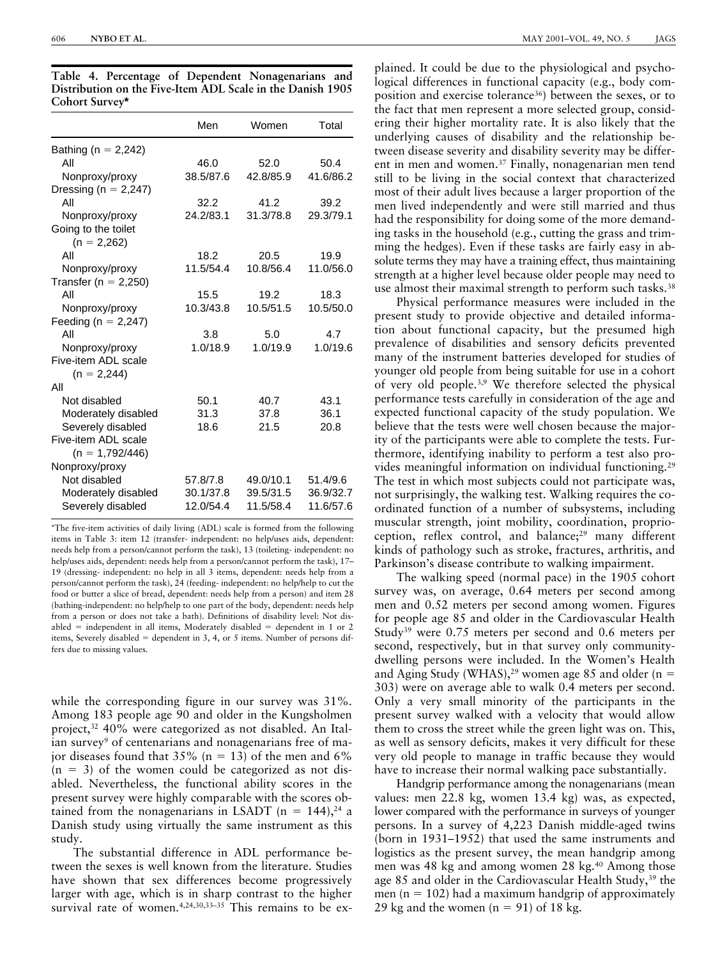|                                          | Men       | Women     | Total     |
|------------------------------------------|-----------|-----------|-----------|
| Bathing ( $n = 2,242$ )                  |           |           |           |
| All                                      | 46.0      | 52.0      | 50.4      |
| Nonproxy/proxy                           | 38.5/87.6 | 42.8/85.9 | 41.6/86.2 |
| Dressing (n = $2,247$ )                  |           |           |           |
| All                                      | 32.2      | 41.2      | 39.2      |
| Nonproxy/proxy                           | 24.2/83.1 | 31.3/78.8 | 29.3/79.1 |
| Going to the toilet<br>$(n = 2,262)$     |           |           |           |
| All                                      | 18.2      | 20.5      | 19.9      |
| Nonproxy/proxy                           | 11.5/54.4 | 10.8/56.4 | 11.0/56.0 |
| Transfer ( $n = 2,250$ )                 |           |           |           |
| All                                      | 15.5      | 19.2      | 18.3      |
| Nonproxy/proxy                           | 10.3/43.8 | 10.5/51.5 | 10.5/50.0 |
| Feeding ( $n = 2,247$ )                  |           |           |           |
| All                                      | 3.8       | 5.0       | 4.7       |
| Nonproxy/proxy                           | 1.0/18.9  | 1.0/19.9  | 1.0/19.6  |
| Five-item ADL scale                      |           |           |           |
| $(n = 2,244)$                            |           |           |           |
| All                                      |           |           |           |
| Not disabled                             | 50.1      | 40.7      | 43.1      |
| Moderately disabled                      | 31.3      | 37.8      | 36.1      |
| Severely disabled                        | 18.6      | 21.5      | 20.8      |
| Five-item ADL scale<br>$(n = 1,792/446)$ |           |           |           |
| Nonproxy/proxy                           |           |           |           |
| Not disabled                             | 57.8/7.8  | 49.0/10.1 | 51.4/9.6  |
| Moderately disabled                      | 30.1/37.8 | 39.5/31.5 | 36.9/32.7 |
| Severely disabled                        | 12.0/54.4 | 11.5/58.4 | 11.6/57.6 |

**Table 4. Percentage of Dependent Nonagenarians and Distribution on the Five-Item ADL Scale in the Danish 1905 Cohort Survey\***

\*The five-item activities of daily living (ADL) scale is formed from the following items in Table 3: item 12 (transfer- independent: no help/uses aids, dependent: needs help from a person/cannot perform the task), 13 (toileting- independent: no help/uses aids, dependent: needs help from a person/cannot perform the task), 17– 19 (dressing- independent: no help in all 3 items, dependent: needs help from a person/cannot perform the task), 24 (feeding- independent: no help/help to cut the food or butter a slice of bread, dependent: needs help from a person) and item 28 (bathing-independent: no help/help to one part of the body, dependent: needs help from a person or does not take a bath). Definitions of disability level: Not disabled  $=$  independent in all items, Moderately disabled  $=$  dependent in 1 or 2 items, Severely disabled  $=$  dependent in 3, 4, or 5 items. Number of persons differs due to missing values.

while the corresponding figure in our survey was 31%. Among 183 people age 90 and older in the Kungsholmen project,<sup>32</sup> 40% were categorized as not disabled. An Italian survey<sup>9</sup> of centenarians and nonagenarians free of major diseases found that  $35\%$  (n = 13) of the men and 6%  $(n = 3)$  of the women could be categorized as not disabled. Nevertheless, the functional ability scores in the present survey were highly comparable with the scores obtained from the nonagenarians in LSADT ( $n = 144$ ),<sup>24</sup> a Danish study using virtually the same instrument as this study.

The substantial difference in ADL performance between the sexes is well known from the literature. Studies have shown that sex differences become progressively larger with age, which is in sharp contrast to the higher survival rate of women.<sup>4,24,30,33-35</sup> This remains to be ex-

plained. It could be due to the physiological and psychological differences in functional capacity (e.g., body composition and exercise tolerance<sup>36</sup>) between the sexes, or to the fact that men represent a more selected group, considering their higher mortality rate. It is also likely that the underlying causes of disability and the relationship between disease severity and disability severity may be different in men and women.37 Finally, nonagenarian men tend still to be living in the social context that characterized most of their adult lives because a larger proportion of the men lived independently and were still married and thus had the responsibility for doing some of the more demanding tasks in the household (e.g., cutting the grass and trimming the hedges). Even if these tasks are fairly easy in absolute terms they may have a training effect, thus maintaining strength at a higher level because older people may need to use almost their maximal strength to perform such tasks.<sup>38</sup>

Physical performance measures were included in the present study to provide objective and detailed information about functional capacity, but the presumed high prevalence of disabilities and sensory deficits prevented many of the instrument batteries developed for studies of younger old people from being suitable for use in a cohort of very old people.3,9 We therefore selected the physical performance tests carefully in consideration of the age and expected functional capacity of the study population. We believe that the tests were well chosen because the majority of the participants were able to complete the tests. Furthermore, identifying inability to perform a test also provides meaningful information on individual functioning.29 The test in which most subjects could not participate was, not surprisingly, the walking test. Walking requires the coordinated function of a number of subsystems, including muscular strength, joint mobility, coordination, proprioception, reflex control, and balance;<sup>29</sup> many different kinds of pathology such as stroke, fractures, arthritis, and Parkinson's disease contribute to walking impairment.

The walking speed (normal pace) in the 1905 cohort survey was, on average, 0.64 meters per second among men and 0.52 meters per second among women. Figures for people age 85 and older in the Cardiovascular Health Study39 were 0.75 meters per second and 0.6 meters per second, respectively, but in that survey only communitydwelling persons were included. In the Women's Health and Aging Study (WHAS), <sup>29</sup> women age 85 and older (n = 303) were on average able to walk 0.4 meters per second. Only a very small minority of the participants in the present survey walked with a velocity that would allow them to cross the street while the green light was on. This, as well as sensory deficits, makes it very difficult for these very old people to manage in traffic because they would have to increase their normal walking pace substantially.

Handgrip performance among the nonagenarians (mean values: men 22.8 kg, women 13.4 kg) was, as expected, lower compared with the performance in surveys of younger persons. In a survey of 4,223 Danish middle-aged twins (born in 1931–1952) that used the same instruments and logistics as the present survey, the mean handgrip among men was 48 kg and among women 28 kg.<sup>40</sup> Among those age 85 and older in the Cardiovascular Health Study,<sup>39</sup> the men ( $n = 102$ ) had a maximum handgrip of approximately 29 kg and the women  $(n = 91)$  of 18 kg.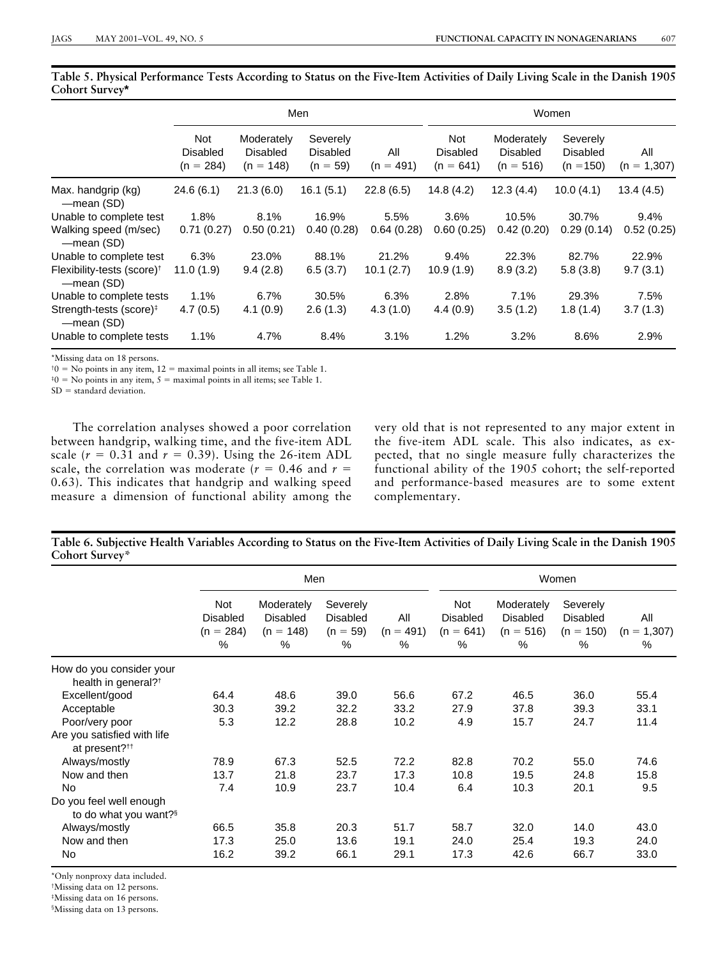|                                                      | Men                                   |                                              |                                           |                    | Women                                 |                                              |                                            |                      |
|------------------------------------------------------|---------------------------------------|----------------------------------------------|-------------------------------------------|--------------------|---------------------------------------|----------------------------------------------|--------------------------------------------|----------------------|
|                                                      | Not<br><b>Disabled</b><br>$(n = 284)$ | Moderately<br><b>Disabled</b><br>$(n = 148)$ | Severely<br><b>Disabled</b><br>$(n = 59)$ | All<br>$(n = 491)$ | Not<br><b>Disabled</b><br>$(n = 641)$ | Moderately<br><b>Disabled</b><br>$(n = 516)$ | Severely<br><b>Disabled</b><br>$(n = 150)$ | All<br>$(n = 1,307)$ |
| Max. handgrip (kg)<br>—mean (SD)                     | 24.6(6.1)                             | 21.3(6.0)                                    | 16.1(5.1)                                 | 22.8(6.5)          | 14.8(4.2)                             | 12.3(4.4)                                    | 10.0(4.1)                                  | 13.4(4.5)            |
| Unable to complete test                              | 1.8%                                  | 8.1%                                         | 16.9%                                     | 5.5%               | 3.6%                                  | 10.5%                                        | 30.7%                                      | 9.4%                 |
| Walking speed (m/sec)<br>—mean (SD)                  | 0.71(0.27)                            | 0.50(0.21)                                   | 0.40(0.28)                                | 0.64(0.28)         | 0.60(0.25)                            | 0.42(0.20)                                   | 0.29(0.14)                                 | 0.52(0.25)           |
| Unable to complete test                              | 6.3%                                  | 23.0%                                        | 88.1%                                     | 21.2%              | $9.4\%$                               | 22.3%                                        | 82.7%                                      | 22.9%                |
| Flexibility-tests (score) <sup>†</sup><br>—mean (SD) | 11.0(1.9)                             | 9.4(2.8)                                     | 6.5(3.7)                                  | 10.1(2.7)          | 10.9(1.9)                             | 8.9(3.2)                                     | 5.8(3.8)                                   | 9.7(3.1)             |
| Unable to complete tests                             | 1.1%                                  | 6.7%                                         | 30.5%                                     | 6.3%               | 2.8%                                  | 7.1%                                         | 29.3%                                      | 7.5%                 |
| Strength-tests (score) <sup>‡</sup><br>—mean (SD)    | 4.7(0.5)                              | 4.1(0.9)                                     | 2.6(1.3)                                  | 4.3(1.0)           | 4.4(0.9)                              | 3.5(1.2)                                     | 1.8(1.4)                                   | 3.7(1.3)             |
| Unable to complete tests                             | 1.1%                                  | 4.7%                                         | 8.4%                                      | 3.1%               | 1.2%                                  | 3.2%                                         | 8.6%                                       | 2.9%                 |

**Table 5. Physical Performance Tests According to Status on the Five-Item Activities of Daily Living Scale in the Danish 1905 Cohort Survey\***

\*Missing data on 18 persons.

 $\phi$  = No points in any item, 12 = maximal points in all items; see Table 1.

 ${}^{40}$  = No points in any item, 5 = maximal points in all items; see Table 1.

 $SD = standard deviation$ .

The correlation analyses showed a poor correlation between handgrip, walking time, and the five-item ADL scale  $(r = 0.31$  and  $r = 0.39$ ). Using the 26-item ADL scale, the correlation was moderate  $(r = 0.46$  and  $r =$ 0.63). This indicates that handgrip and walking speed measure a dimension of functional ability among the

very old that is not represented to any major extent in the five-item ADL scale. This also indicates, as expected, that no single measure fully characterizes the functional ability of the 1905 cohort; the self-reported and performance-based measures are to some extent complementary.

**Table 6. Subjective Health Variables According to Status on the Five-Item Activities of Daily Living Scale in the Danish 1905 Cohort Survey\***

|                                                             | Men                                           |                                                      |                                                   |                            | Women                                         |                                                   |                                                    |                           |
|-------------------------------------------------------------|-----------------------------------------------|------------------------------------------------------|---------------------------------------------------|----------------------------|-----------------------------------------------|---------------------------------------------------|----------------------------------------------------|---------------------------|
|                                                             | Not<br><b>Disabled</b><br>$(n = 284)$<br>$\%$ | Moderately<br><b>Disabled</b><br>$(n = 148)$<br>$\%$ | Severely<br><b>Disabled</b><br>$(n = 59)$<br>$\%$ | All<br>$(n = 491)$<br>$\%$ | Not<br><b>Disabled</b><br>$(n = 641)$<br>$\%$ | Moderately<br><b>Disabled</b><br>$(n = 516)$<br>% | Severely<br><b>Disabled</b><br>$(n = 150)$<br>$\%$ | All<br>$(n = 1,307)$<br>% |
| How do you consider your<br>health in general? <sup>†</sup> |                                               |                                                      |                                                   |                            |                                               |                                                   |                                                    |                           |
| Excellent/good                                              | 64.4                                          | 48.6                                                 | 39.0                                              | 56.6                       | 67.2                                          | 46.5                                              | 36.0                                               | 55.4                      |
| Acceptable                                                  | 30.3                                          | 39.2                                                 | 32.2                                              | 33.2                       | 27.9                                          | 37.8                                              | 39.3                                               | 33.1                      |
| Poor/very poor                                              | 5.3                                           | 12.2                                                 | 28.8                                              | 10.2                       | 4.9                                           | 15.7                                              | 24.7                                               | 11.4                      |
| Are you satisfied with life<br>at present? <sup>††</sup>    |                                               |                                                      |                                                   |                            |                                               |                                                   |                                                    |                           |
| Always/mostly                                               | 78.9                                          | 67.3                                                 | 52.5                                              | 72.2                       | 82.8                                          | 70.2                                              | 55.0                                               | 74.6                      |
| Now and then                                                | 13.7                                          | 21.8                                                 | 23.7                                              | 17.3                       | 10.8                                          | 19.5                                              | 24.8                                               | 15.8                      |
| No                                                          | 7.4                                           | 10.9                                                 | 23.7                                              | 10.4                       | 6.4                                           | 10.3                                              | 20.1                                               | 9.5                       |
| Do you feel well enough<br>to do what you want?§            |                                               |                                                      |                                                   |                            |                                               |                                                   |                                                    |                           |
| Always/mostly                                               | 66.5                                          | 35.8                                                 | 20.3                                              | 51.7                       | 58.7                                          | 32.0                                              | 14.0                                               | 43.0                      |
| Now and then                                                | 17.3                                          | 25.0                                                 | 13.6                                              | 19.1                       | 24.0                                          | 25.4                                              | 19.3                                               | 24.0                      |
| No.                                                         | 16.2                                          | 39.2                                                 | 66.1                                              | 29.1                       | 17.3                                          | 42.6                                              | 66.7                                               | 33.0                      |

\*Only nonproxy data included.

†Missing data on 12 persons.

‡Missing data on 16 persons.

§Missing data on 13 persons.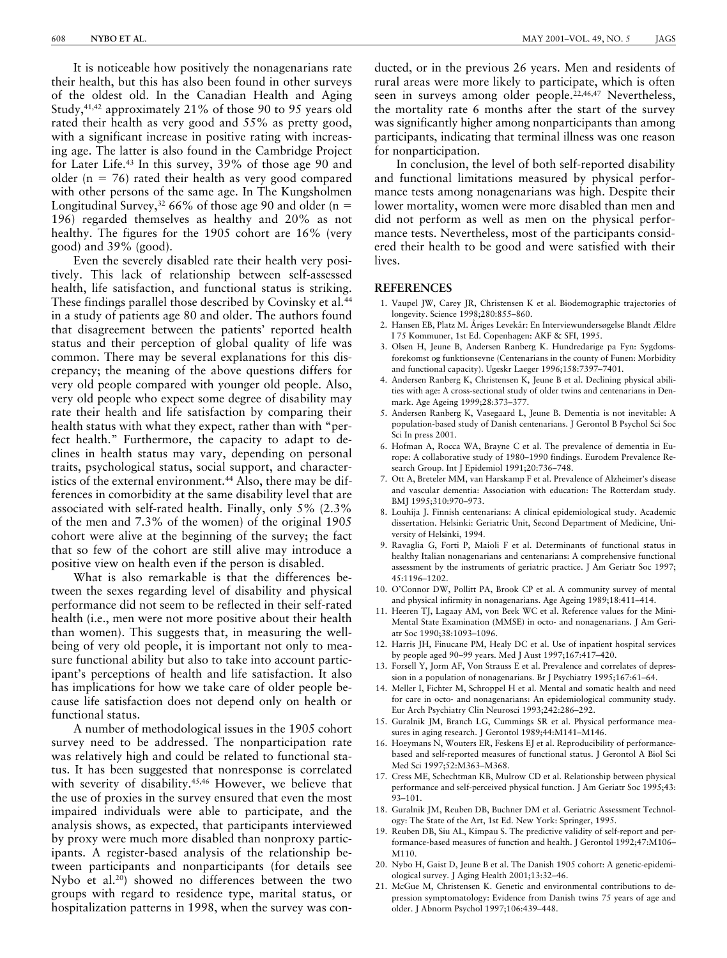It is noticeable how positively the nonagenarians rate their health, but this has also been found in other surveys of the oldest old. In the Canadian Health and Aging Study,41,42 approximately 21% of those 90 to 95 years old rated their health as very good and 55% as pretty good, with a significant increase in positive rating with increasing age. The latter is also found in the Cambridge Project for Later Life.43 In this survey, 39% of those age 90 and older ( $n = 76$ ) rated their health as very good compared with other persons of the same age. In The Kungsholmen Longitudinal Survey,<sup>32</sup> 66% of those age 90 and older (n = 196) regarded themselves as healthy and 20% as not healthy. The figures for the 1905 cohort are 16% (very good) and 39% (good).

Even the severely disabled rate their health very positively. This lack of relationship between self-assessed health, life satisfaction, and functional status is striking. These findings parallel those described by Covinsky et al.<sup>44</sup> in a study of patients age 80 and older. The authors found that disagreement between the patients' reported health status and their perception of global quality of life was common. There may be several explanations for this discrepancy; the meaning of the above questions differs for very old people compared with younger old people. Also, very old people who expect some degree of disability may rate their health and life satisfaction by comparing their health status with what they expect, rather than with "perfect health." Furthermore, the capacity to adapt to declines in health status may vary, depending on personal traits, psychological status, social support, and characteristics of the external environment.<sup>44</sup> Also, there may be differences in comorbidity at the same disability level that are associated with self-rated health. Finally, only 5% (2.3% of the men and 7.3% of the women) of the original 1905 cohort were alive at the beginning of the survey; the fact that so few of the cohort are still alive may introduce a positive view on health even if the person is disabled.

What is also remarkable is that the differences between the sexes regarding level of disability and physical performance did not seem to be reflected in their self-rated health (i.e., men were not more positive about their health than women). This suggests that, in measuring the wellbeing of very old people, it is important not only to measure functional ability but also to take into account participant's perceptions of health and life satisfaction. It also has implications for how we take care of older people because life satisfaction does not depend only on health or functional status.

A number of methodological issues in the 1905 cohort survey need to be addressed. The nonparticipation rate was relatively high and could be related to functional status. It has been suggested that nonresponse is correlated with severity of disability.<sup>45,46</sup> However, we believe that the use of proxies in the survey ensured that even the most impaired individuals were able to participate, and the analysis shows, as expected, that participants interviewed by proxy were much more disabled than nonproxy participants. A register-based analysis of the relationship between participants and nonparticipants (for details see Nybo et al.20) showed no differences between the two groups with regard to residence type, marital status, or hospitalization patterns in 1998, when the survey was conducted, or in the previous 26 years. Men and residents of rural areas were more likely to participate, which is often seen in surveys among older people.<sup>22,46,47</sup> Nevertheless, the mortality rate 6 months after the start of the survey was significantly higher among nonparticipants than among participants, indicating that terminal illness was one reason for nonparticipation.

In conclusion, the level of both self-reported disability and functional limitations measured by physical performance tests among nonagenarians was high. Despite their lower mortality, women were more disabled than men and did not perform as well as men on the physical performance tests. Nevertheless, most of the participants considered their health to be good and were satisfied with their lives.

## **REFERENCES**

- 1. Vaupel JW, Carey JR, Christensen K et al. Biodemographic trajectories of longevity. Science 1998;280:855–860.
- 2. Hansen EB, Platz M. Åriges Levekår: En Interviewundersøgelse Blandt Ældre I 75 Kommuner, 1st Ed. Copenhagen: AKF & SFI, 1995.
- 3. Olsen H, Jeune B, Andersen Ranberg K. Hundredarige pa Fyn: Sygdomsforekomst og funktionsevne (Centenarians in the county of Funen: Morbidity and functional capacity). Ugeskr Laeger 1996;158:7397–7401.
- 4. Andersen Ranberg K, Christensen K, Jeune B et al. Declining physical abilities with age: A cross-sectional study of older twins and centenarians in Denmark. Age Ageing 1999;28:373–377.
- 5. Andersen Ranberg K, Vasegaard L, Jeune B. Dementia is not inevitable: A population-based study of Danish centenarians. J Gerontol B Psychol Sci Soc Sci In press 2001.
- 6. Hofman A, Rocca WA, Brayne C et al. The prevalence of dementia in Europe: A collaborative study of 1980–1990 findings. Eurodem Prevalence Research Group. Int J Epidemiol 1991;20:736–748.
- 7. Ott A, Breteler MM, van Harskamp F et al. Prevalence of Alzheimer's disease and vascular dementia: Association with education: The Rotterdam study. BMJ 1995;310:970–973.
- 8. Louhija J. Finnish centenarians: A clinical epidemiological study. Academic dissertation. Helsinki: Geriatric Unit, Second Department of Medicine, University of Helsinki, 1994.
- 9. Ravaglia G, Forti P, Maioli F et al. Determinants of functional status in healthy Italian nonagenarians and centenarians: A comprehensive functional assessment by the instruments of geriatric practice. J Am Geriatr Soc 1997; 45:1196–1202.
- 10. O'Connor DW, Pollitt PA, Brook CP et al. A community survey of mental and physical infirmity in nonagenarians. Age Ageing 1989;18:411–414.
- 11. Heeren TJ, Lagaay AM, von Beek WC et al. Reference values for the Mini-Mental State Examination (MMSE) in octo- and nonagenarians. J Am Geriatr Soc 1990;38:1093–1096.
- 12. Harris JH, Finucane PM, Healy DC et al. Use of inpatient hospital services by people aged 90–99 years. Med J Aust 1997;167:417–420.
- 13. Forsell Y, Jorm AF, Von Strauss E et al. Prevalence and correlates of depression in a population of nonagenarians. Br J Psychiatry 1995;167:61–64.
- 14. Meller I, Fichter M, Schroppel H et al. Mental and somatic health and need for care in octo- and nonagenarians: An epidemiological community study. Eur Arch Psychiatry Clin Neurosci 1993;242:286–292.
- 15. Guralnik JM, Branch LG, Cummings SR et al. Physical performance measures in aging research. J Gerontol 1989;44:M141-M146.
- 16. Hoeymans N, Wouters ER, Feskens EJ et al. Reproducibility of performancebased and self-reported measures of functional status. J Gerontol A Biol Sci Med Sci 1997;52:M363–M368.
- 17. Cress ME, Schechtman KB, Mulrow CD et al. Relationship between physical performance and self-perceived physical function. J Am Geriatr Soc 1995;43: 93–101.
- 18. Guralnik JM, Reuben DB, Buchner DM et al. Geriatric Assessment Technology: The State of the Art, 1st Ed. New York: Springer, 1995.
- 19. Reuben DB, Siu AL, Kimpau S. The predictive validity of self-report and performance-based measures of function and health. J Gerontol 1992;47:M106– M110.
- 20. Nybo H, Gaist D, Jeune B et al. The Danish 1905 cohort: A genetic-epidemiological survey. J Aging Health 2001;13:32–46.
- 21. McGue M, Christensen K. Genetic and environmental contributions to depression symptomatology: Evidence from Danish twins 75 years of age and older. J Abnorm Psychol 1997;106:439–448.